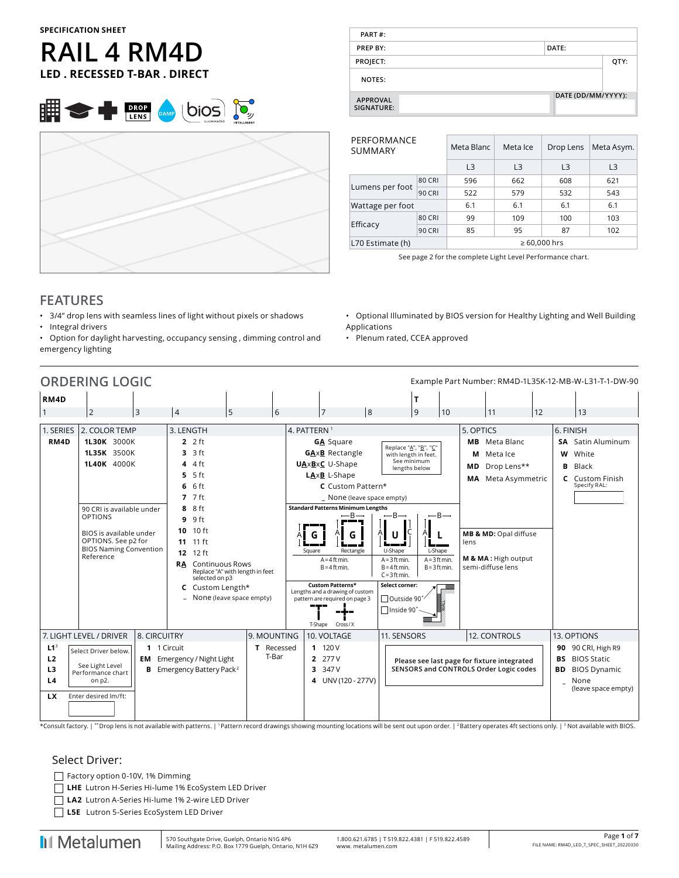#### **SPECIFICATION SHEET**

# **RAIL 4 RM4D LED . RECESSED T-BAR . DIRECT**





| PART#:                        |                    |      |
|-------------------------------|--------------------|------|
| <b>PREP BY:</b>               | DATE:              |      |
| PROJECT:                      |                    | QTY: |
| <b>NOTES:</b>                 |                    |      |
| <b>APPROVAL</b><br>SIGNATURE: | DATE (DD/MM/YYYY): |      |

| PERFORMANCE<br>SUMMARY                |               | Meta Blanc     | Meta Ice       | Meta Asym.<br>Drop Lens |                |  |  |  |  |
|---------------------------------------|---------------|----------------|----------------|-------------------------|----------------|--|--|--|--|
|                                       |               | L <sub>3</sub> | L <sub>3</sub> | L <sub>3</sub>          | L <sub>3</sub> |  |  |  |  |
|                                       | <b>80 CRI</b> | 596            | 662            | 608                     | 621            |  |  |  |  |
| Lumens per foot                       | <b>90 CRI</b> | 522            | 579            | 532                     | 543            |  |  |  |  |
| Wattage per foot                      |               | 6.1            | 6.1            | 6.1                     | 6.1            |  |  |  |  |
|                                       | <b>80 CRI</b> | 99             | 109            | 100                     | 103            |  |  |  |  |
| Efficacy                              | <b>90 CRI</b> | 85             | 95             | 87                      | 102            |  |  |  |  |
| $\geq 60,000$ hrs<br>L70 Estimate (h) |               |                |                |                         |                |  |  |  |  |

See page 2 for the complete Light Level Performance chart.

#### **FEATURES**

- 3/4" drop lens with seamless lines of light without pixels or shadows
- Integral drivers
- Option for daylight harvesting, occupancy sensing , dimming control and emergency lighting
- Optional Illuminated by BIOS version for Healthy Lighting and Well Building Applications
- Plenum rated, CCEA approved



\*Consult factory. | \*\* Drop lens is not available with patterns. | 1 Pattern record drawings showing mounting locations will be sent out upon order. | 2 Battery operates 4ft sections only. | 3 Not available with BIOS.

#### Select Driver:

- Factory option 0-10V, 1% Dimming
- **LHE** Lutron H-Series Hi-lume 1% EcoSystem LED Driver
- **LA2** Lutron A-Series Hi-lume 1% 2-wire LED Driver
- **L5E** Lutron 5-Series EcoSystem LED Driver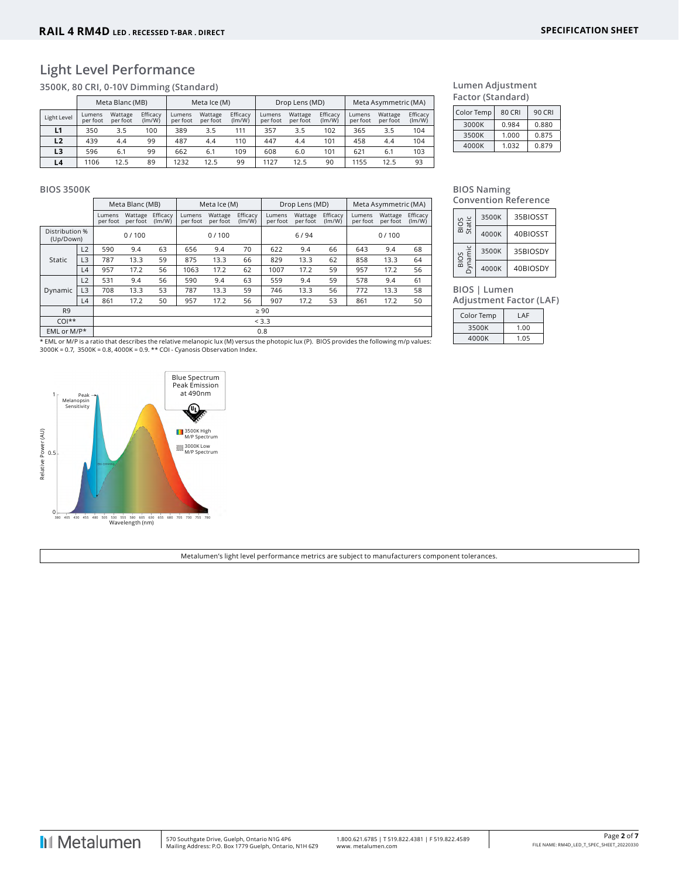## **Light Level Performance**

**3500K, 80 CRI, 0-10V Dimming (Standard)**

|             |                    | Meta Blanc (MB)     |                    |                    | Meta Ice (M)        |                    |                    | Drop Lens (MD)      |                    | Meta Asymmetric (MA) |                     |                    |  |  |
|-------------|--------------------|---------------------|--------------------|--------------------|---------------------|--------------------|--------------------|---------------------|--------------------|----------------------|---------------------|--------------------|--|--|
| Light Level | Lumens<br>per foot | Wattage<br>per foot | Efficacy<br>(lm/W) | Lumens<br>per foot | Wattage<br>per foot | Efficacy<br>(lm/W) | Lumens<br>per foot | Wattage<br>per foot | Efficacy<br>(lm/W) | Lumens<br>per foot   | Wattage<br>per foot | Efficacy<br>(lm/W) |  |  |
| L1          | 350                | 3.5                 | 100                | 389                | 3.5                 | 111                | 357                | 3.5                 | 102                | 365                  | 3.5                 | 104                |  |  |
| L2          | 439                | 4.4                 | 99                 | 487                | 4.4                 | 110                | 447                | 4.4                 | 101                | 458                  | 4.4                 | 104                |  |  |
| L3          | 596                | 6.1                 | 99                 | 662                | 6.1                 | 109                | 608                | 6.0                 | 101                | 621                  | 6.1                 | 103                |  |  |
| L4          | 1106               | 12.5                | 89                 | 1232               | 12.5                | 99                 | 1127               | 12.5                | 90                 | 1155                 | 12.5                | 93                 |  |  |

| Lumen Adjustment  |
|-------------------|
| Factor (Standard) |

| 80 CRI | 90 CRI |  |  |
|--------|--------|--|--|
| 0.984  | 0.880  |  |  |
| 1.000  | 0.875  |  |  |
| 1.032  | 0.879  |  |  |
|        |        |  |  |

#### **BIOS 3500K**

|                             |                |                    | Meta Blanc (MB)     |                    |                    | Meta Ice (M)        |                    |                    | Drop Lens (MD)      |                    | Meta Asymmetric (MA) |                     |                    |  |  |
|-----------------------------|----------------|--------------------|---------------------|--------------------|--------------------|---------------------|--------------------|--------------------|---------------------|--------------------|----------------------|---------------------|--------------------|--|--|
|                             |                | Lumens<br>per foot | Wattage<br>per foot | Efficacy<br>(lm/W) | Lumens<br>per foot | Wattage<br>per foot | Efficacy<br>(lm/W) | Lumens<br>per foot | Wattage<br>per foot | Efficacy<br>(lm/W) | Lumens<br>per foot   | Wattage<br>per foot | Efficacy<br>(lm/W) |  |  |
| Distribution %<br>(Up/Down) |                |                    | 0/100               |                    |                    | 0/100               |                    |                    | 6/94                |                    | 0/100                |                     |                    |  |  |
|                             | L2             | 590                | 9.4                 | 63                 | 656                | 9.4                 | 70                 | 622                | 9.4                 | 66                 | 643                  | 9.4                 | 68                 |  |  |
| Static                      | L <sub>3</sub> | 787                | 13.3                | 59                 | 875                | 13.3                | 66                 | 829                | 13.3                | 62                 | 858                  | 13.3                | 64                 |  |  |
|                             | L4             | 957                | 17.2                | 56                 | 1063               | 17.2                | 62                 | 1007               | 17.2                | 59                 | 957                  | 17.2                | 56                 |  |  |
|                             | L2             | 531                | 9.4                 | 56                 | 590                | 9.4                 | 63                 | 559                | 9.4                 | 59                 | 578                  | 9.4                 | 61                 |  |  |
| Dynamic                     | L <sub>3</sub> | 708                | 13.3                | 53                 | 787                | 13.3                | 59                 | 746                | 13.3                | 56                 | 772                  | 13.3                | 58                 |  |  |
|                             | L4             | 861                | 17.2                | 50                 | 957                | 17.2                | 56                 | 907                | 17.2                | 53                 | 861                  | 17.2                | 50                 |  |  |
| R <sub>9</sub>              |                |                    |                     |                    |                    |                     |                    | $\geq 90$          |                     |                    |                      |                     |                    |  |  |
| $COI**$                     |                |                    | < 3.3               |                    |                    |                     |                    |                    |                     |                    |                      |                     |                    |  |  |
| EML or M/P*                 |                |                    |                     |                    |                    |                     |                    | 0.8                |                     |                    |                      |                     |                    |  |  |

\* EML or M/P is a ratio that describes the relative melanopic lux (M) versus the photopic lux (P). BIOS provides the following m/p values:<br>3000K = 0.7, 3500K = 0.8, 4000K = 0.9. \*\* COI - Cyanosis Observation Index.



**BIOS Naming Convention Reference**

| Static | 3500K | 35BIOSST |  |  |  |  |  |  |  |  |  |  |  |
|--------|-------|----------|--|--|--|--|--|--|--|--|--|--|--|
| 흚      | 4000K | 40BIOSST |  |  |  |  |  |  |  |  |  |  |  |
| ynamic | 3500K | 35BIOSDY |  |  |  |  |  |  |  |  |  |  |  |
| 듦      | 4000K | 40BIOSDY |  |  |  |  |  |  |  |  |  |  |  |

**BIOS | Lumen** 

**Adjustment Factor (LAF)**

| Color Temp | LAF  |
|------------|------|
| 3500K      | 1.00 |
| 4000K      | 1.05 |

Metalumen's light level performance metrics are subject to manufacturers component tolerances.

**I**I Metalumen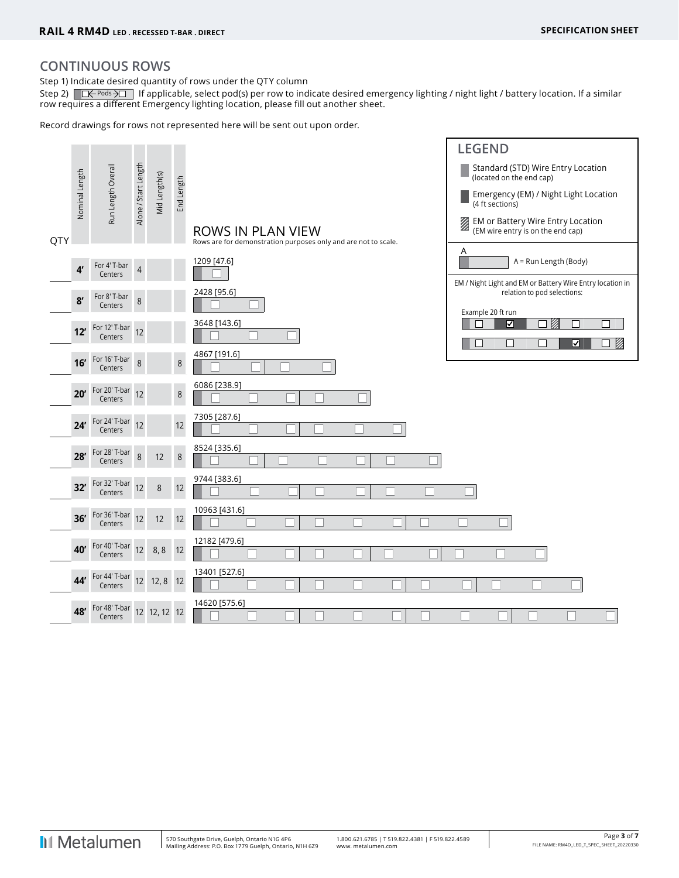#### **CONTINUOUS ROWS**

Step 1) Indicate desired quantity of rows under the QTY column

Step 2)  $\Box \leftrightarrow \Box$  If applicable, select pod(s) per row to indicate desired emergency lighting / night light / battery location. If a similar row requires a different Emergency lighting location, please fill out another sheet.

Record drawings for rows not represented here will be sent out upon order.

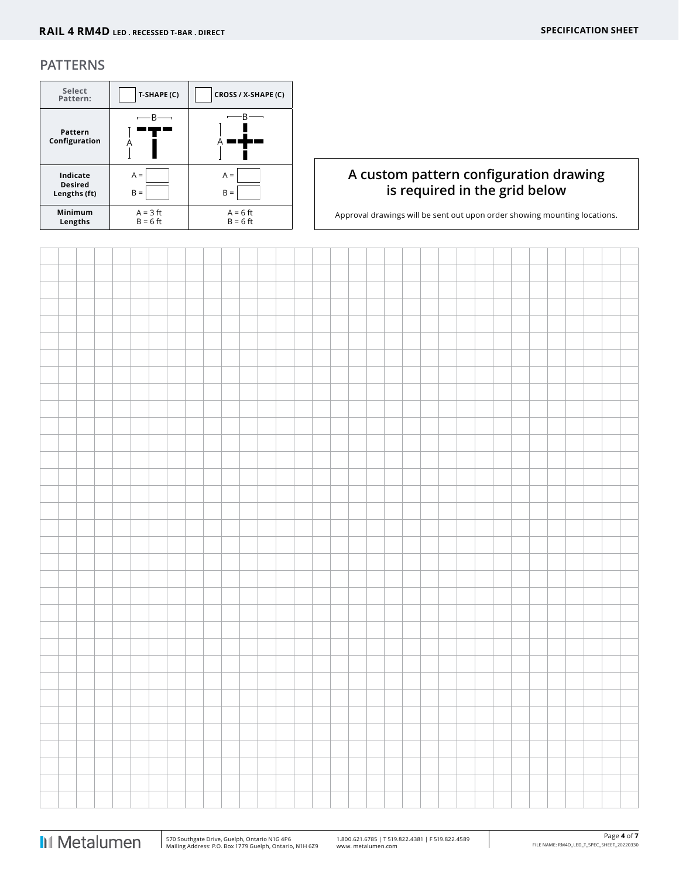#### **PATTERNS**

| Select<br>Pattern:                         | T-SHAPE (C)              | CROSS / X-SHAPE (C)      |
|--------------------------------------------|--------------------------|--------------------------|
| Pattern<br>Configuration                   |                          | R                        |
| Indicate<br><b>Desired</b><br>Lengths (ft) | $A =$<br>$B =$           | $A =$<br>$B =$           |
| Minimum<br>Lengths                         | $A = 3$ ft<br>$B = 6$ ft | $A = 6$ ft<br>$B = 6$ ft |

### **A custom pattern configuration drawing is required in the grid below**

Approval drawings will be sent out upon order showing mounting locations.

 $\overline{1}$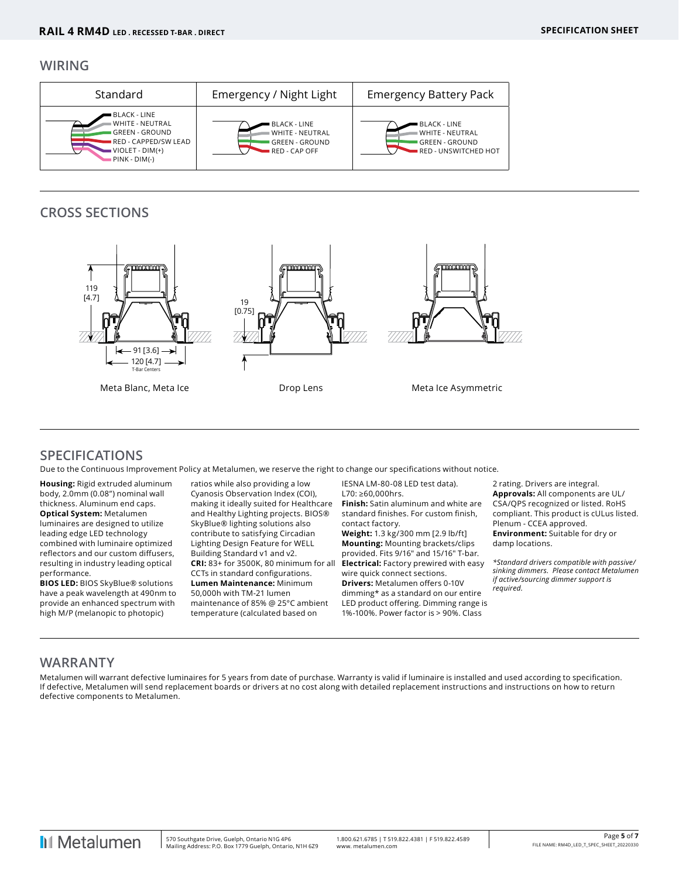#### **WIRING**

| Standard                                                                                                                    | Emergency / Night Light                                                          | <b>Emergency Battery Pack</b>                                                    |
|-----------------------------------------------------------------------------------------------------------------------------|----------------------------------------------------------------------------------|----------------------------------------------------------------------------------|
| BLACK - LINE<br><b>WHITE - NEUTRAL</b><br><b>GREEN - GROUND</b><br>RED - CAPPED/SW LEAD<br>VIOLET - DIM(+)<br>PINK - DIM(-) | BLACK - LINE<br><b>WHITE - NEUTRAL</b><br><b>GREEN - GROUND</b><br>RED - CAP OFF | BLACK - LINE<br>WHITE - NEUTRAL<br>GREEN - GROUND<br><b>RED - UNSWITCHED HOT</b> |

## **CROSS SECTIONS**



### **SPECIFICATIONS**

Due to the Continuous Improvement Policy at Metalumen, we reserve the right to change our specifications without notice.

**Housing:** Rigid extruded aluminum body, 2.0mm (0.08") nominal wall thickness. Aluminum end caps. **Optical System:** Metalumen luminaires are designed to utilize leading edge LED technology combined with luminaire optimized reflectors and our custom diffusers, resulting in industry leading optical performance.

**BIOS LED:** BIOS SkyBlue® solutions have a peak wavelength at 490nm to provide an enhanced spectrum with high M/P (melanopic to photopic)

ratios while also providing a low Cyanosis Observation Index (COI), making it ideally suited for Healthcare and Healthy Lighting projects. BIOS® SkyBlue® lighting solutions also contribute to satisfying Circadian Lighting Design Feature for WELL Building Standard v1 and v2. CCTs in standard configurations. **Lumen Maintenance:** Minimum 50,000h with TM-21 lumen maintenance of 85% @ 25°C ambient temperature (calculated based on

IESNA LM-80-08 LED test data). L70: ≥60,000hrs.

**Finish:** Satin aluminum and white are standard finishes. For custom finish, contact factory.

**CRI:** 83+ for 3500K, 80 minimum for all **Electrical:** Factory prewired with easy **Weight:** 1.3 kg/300 mm [2.9 lb/ft] **Mounting:** Mounting brackets/clips provided. Fits 9/16" and 15/16" T-bar. wire quick connect sections. **Drivers:** Metalumen offers 0-10V dimming\* as a standard on our entire LED product offering. Dimming range is 1%-100%. Power factor is > 90%. Class

2 rating. Drivers are integral. **Approvals:** All components are UL/ CSA/QPS recognized or listed. RoHS compliant. This product is cULus listed. Plenum - CCEA approved. **Environment:** Suitable for dry or damp locations.

*\*Standard drivers compatible with passive/ sinking dimmers. Please contact Metalumen if active/sourcing dimmer support is required.*

### **WARRANTY**

Metalumen will warrant defective luminaires for 5 years from date of purchase. Warranty is valid if luminaire is installed and used according to specification. If defective, Metalumen will send replacement boards or drivers at no cost along with detailed replacement instructions and instructions on how to return defective components to Metalumen.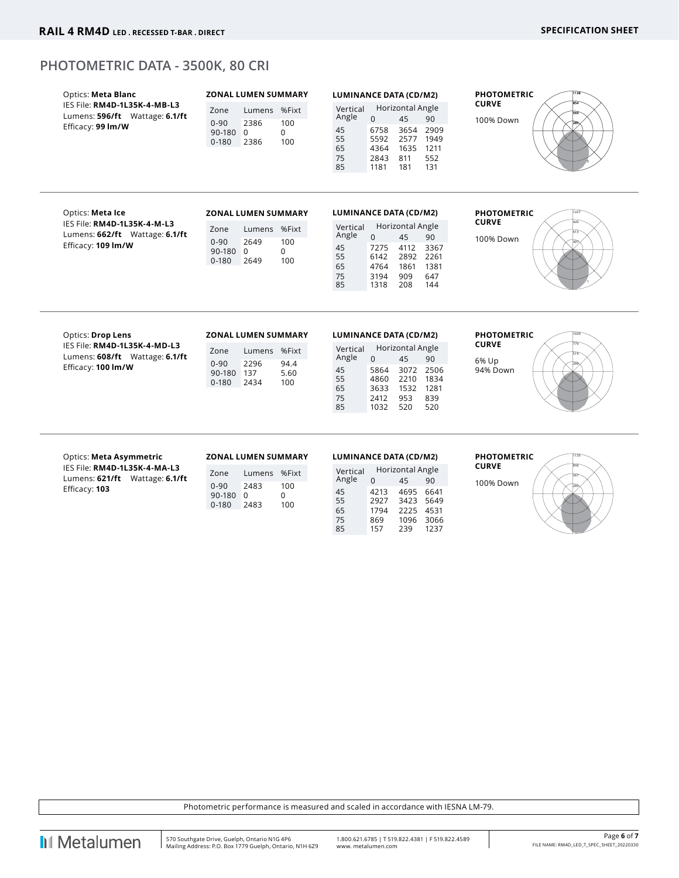#### **PHOTOMETRIC DATA - 3500K, 80 CRI**

| Optics: Meta Blanc<br>IES File: RM4D-1L35K-4-MB-L3<br>Lumens: 596/ft Wattage: 6.1/ft<br>Efficacy: 99 Im/W  | <b>ZONAL LUMEN SUMMARY</b><br>Zone<br>Lumens %Fixt<br>$0 - 90$<br>2386<br>100<br>$\Omega$<br>90-180 0<br>100<br>$0 - 180$<br>2386 | <b>LUMINANCE DATA (CD/M2)</b><br>Horizontal Angle<br>Vertical<br>Angle<br>$\Omega$<br>45<br>90<br>3654 2909<br>45<br>6758<br>55<br>5592 2577<br>1949<br>65<br>4364 1635 1211<br>75<br>2843 811<br>552<br>85<br>1181<br>181<br>131             | <b>PHOTOMETRIC</b><br><b>CURVE</b><br>100% Down         |
|------------------------------------------------------------------------------------------------------------|-----------------------------------------------------------------------------------------------------------------------------------|-----------------------------------------------------------------------------------------------------------------------------------------------------------------------------------------------------------------------------------------------|---------------------------------------------------------|
| Optics: Meta Ice<br>IES File: RM4D-1L35K-4-M-L3<br>Lumens: 662/ft Wattage: 6.1/ft<br>Efficacy: 109 Im/W    | <b>ZONAL LUMEN SUMMARY</b><br>Zone<br>Lumens %Fixt<br>$0 - 90$<br>2649<br>100<br>0<br>90-180 0<br>2649<br>100<br>$0 - 180$        | <b>LUMINANCE DATA (CD/M2)</b><br>Horizontal Angle<br>Vertical<br>Angle<br>$\Omega$<br>45<br>90<br>45<br>7275<br>4112<br>3367<br>55<br>6142<br>2892 2261<br>65<br>4764<br>1381<br>1861<br>75<br>647<br>3194<br>909<br>85<br>1318<br>208<br>144 | <b>PHOTOMETRIC</b><br><b>CURVE</b><br>100% Down         |
| Optics: Drop Lens<br>IES File: RM4D-1L35K-4-MD-L3<br>Lumens: 608/ft Wattage: 6.1/ft<br>Efficacy: 100 Im/W  | <b>ZONAL LUMEN SUMMARY</b><br>Lumens %Fixt<br>Zone<br>$0 - 90$<br>2296<br>94.4<br>90-180 137<br>5.60<br>2434<br>$0 - 180$<br>100  | <b>LUMINANCE DATA (CD/M2)</b><br>Horizontal Angle<br>Vertical<br>Angle<br>45<br>$\Omega$<br>90<br>45<br>5864<br>3072 2506<br>55<br>4860 2210 1834<br>65<br>3633 1532 1281<br>75<br>953<br>839<br>2412<br>85<br>1032<br>520<br>520             | <b>PHOTOMETRIC</b><br><b>CURVE</b><br>6% Up<br>94% Down |
| Optics: Meta Asymmetric<br>IES File: RM4D-1L35K-4-MA-L3<br>Lumens: 621/ft Wattage: 6.1/ft<br>Efficacy: 103 | <b>ZONAL LUMEN SUMMARY</b><br>Zone<br>Lumens %Fixt<br>$0 - 90$<br>2483<br>100<br>90-180 0<br>0<br>2483<br>100<br>$0 - 180$        | <b>LUMINANCE DATA (CD/M2)</b><br>Horizontal Angle<br>Vertical<br>Angle<br>45<br>$\Omega$<br>90<br>45<br>4213<br>4695<br>6641<br>55<br>2927<br>3423 5649<br>65<br>1794<br>2225 4531<br>75<br>869<br>1096 3066<br>85<br>157<br>239<br>1237      | <b>PHOTOMETRIC</b><br><b>CURVE</b><br>100% Down         |

Photometric performance is measured and scaled in accordance with IESNA LM-79.

**II** Metalumen

 $\overline{\phantom{a}}$